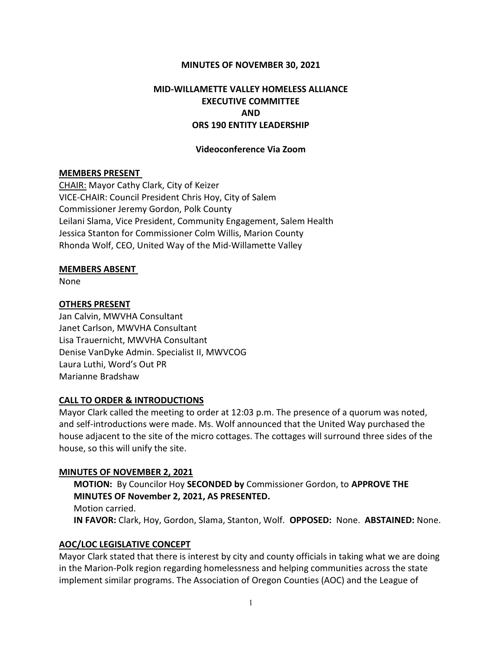#### MINUTES OF NOVEMBER 30, 2021

# MID-WILLAMETTE VALLEY HOMELESS ALLIANCE EXECUTIVE COMMITTEE AND ORS 190 ENTITY LEADERSHIP

#### Videoconference Via Zoom

#### MEMBERS PRESENT

CHAIR: Mayor Cathy Clark, City of Keizer VICE-CHAIR: Council President Chris Hoy, City of Salem Commissioner Jeremy Gordon, Polk County Leilani Slama, Vice President, Community Engagement, Salem Health Jessica Stanton for Commissioner Colm Willis, Marion County Rhonda Wolf, CEO, United Way of the Mid-Willamette Valley

#### MEMBERS ABSENT

None

#### OTHERS PRESENT

Jan Calvin, MWVHA Consultant Janet Carlson, MWVHA Consultant Lisa Trauernicht, MWVHA Consultant Denise VanDyke Admin. Specialist II, MWVCOG Laura Luthi, Word's Out PR Marianne Bradshaw

#### CALL TO ORDER & INTRODUCTIONS

Mayor Clark called the meeting to order at 12:03 p.m. The presence of a quorum was noted, and self-introductions were made. Ms. Wolf announced that the United Way purchased the house adjacent to the site of the micro cottages. The cottages will surround three sides of the house, so this will unify the site.

#### MINUTES OF NOVEMBER 2, 2021

MOTION: By Councilor Hoy SECONDED by Commissioner Gordon, to APPROVE THE MINUTES OF November 2, 2021, AS PRESENTED. Motion carried. IN FAVOR: Clark, Hoy, Gordon, Slama, Stanton, Wolf. OPPOSED: None. ABSTAINED: None.

### AOC/LOC LEGISLATIVE CONCEPT

Mayor Clark stated that there is interest by city and county officials in taking what we are doing in the Marion-Polk region regarding homelessness and helping communities across the state implement similar programs. The Association of Oregon Counties (AOC) and the League of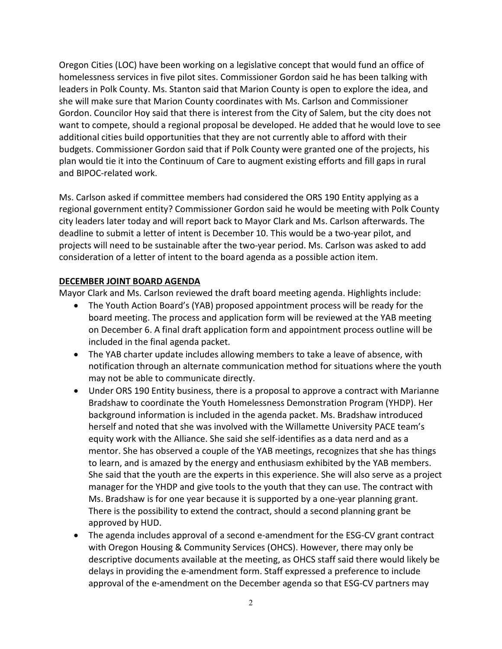Oregon Cities (LOC) have been working on a legislative concept that would fund an office of homelessness services in five pilot sites. Commissioner Gordon said he has been talking with leaders in Polk County. Ms. Stanton said that Marion County is open to explore the idea, and she will make sure that Marion County coordinates with Ms. Carlson and Commissioner Gordon. Councilor Hoy said that there is interest from the City of Salem, but the city does not want to compete, should a regional proposal be developed. He added that he would love to see additional cities build opportunities that they are not currently able to afford with their budgets. Commissioner Gordon said that if Polk County were granted one of the projects, his plan would tie it into the Continuum of Care to augment existing efforts and fill gaps in rural and BIPOC-related work.

Ms. Carlson asked if committee members had considered the ORS 190 Entity applying as a regional government entity? Commissioner Gordon said he would be meeting with Polk County city leaders later today and will report back to Mayor Clark and Ms. Carlson afterwards. The deadline to submit a letter of intent is December 10. This would be a two-year pilot, and projects will need to be sustainable after the two-year period. Ms. Carlson was asked to add consideration of a letter of intent to the board agenda as a possible action item.

## DECEMBER JOINT BOARD AGENDA

Mayor Clark and Ms. Carlson reviewed the draft board meeting agenda. Highlights include:

- The Youth Action Board's (YAB) proposed appointment process will be ready for the board meeting. The process and application form will be reviewed at the YAB meeting on December 6. A final draft application form and appointment process outline will be included in the final agenda packet.
- The YAB charter update includes allowing members to take a leave of absence, with notification through an alternate communication method for situations where the youth may not be able to communicate directly.
- Under ORS 190 Entity business, there is a proposal to approve a contract with Marianne Bradshaw to coordinate the Youth Homelessness Demonstration Program (YHDP). Her background information is included in the agenda packet. Ms. Bradshaw introduced herself and noted that she was involved with the Willamette University PACE team's equity work with the Alliance. She said she self-identifies as a data nerd and as a mentor. She has observed a couple of the YAB meetings, recognizes that she has things to learn, and is amazed by the energy and enthusiasm exhibited by the YAB members. She said that the youth are the experts in this experience. She will also serve as a project manager for the YHDP and give tools to the youth that they can use. The contract with Ms. Bradshaw is for one year because it is supported by a one-year planning grant. There is the possibility to extend the contract, should a second planning grant be approved by HUD.
- The agenda includes approval of a second e-amendment for the ESG-CV grant contract with Oregon Housing & Community Services (OHCS). However, there may only be descriptive documents available at the meeting, as OHCS staff said there would likely be delays in providing the e-amendment form. Staff expressed a preference to include approval of the e-amendment on the December agenda so that ESG-CV partners may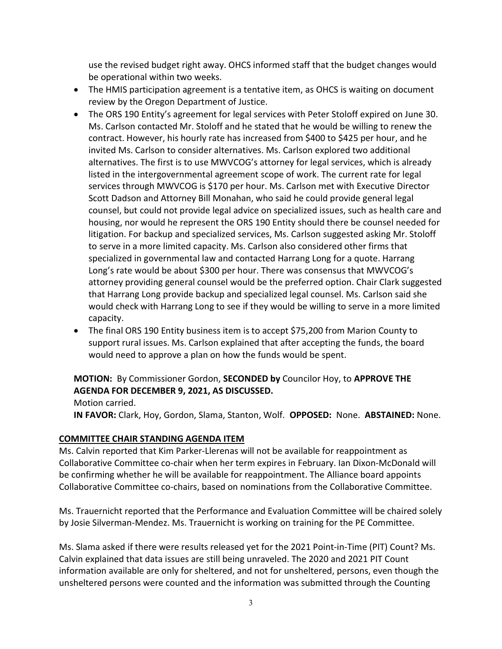use the revised budget right away. OHCS informed staff that the budget changes would be operational within two weeks.

- The HMIS participation agreement is a tentative item, as OHCS is waiting on document review by the Oregon Department of Justice.
- The ORS 190 Entity's agreement for legal services with Peter Stoloff expired on June 30. Ms. Carlson contacted Mr. Stoloff and he stated that he would be willing to renew the contract. However, his hourly rate has increased from \$400 to \$425 per hour, and he invited Ms. Carlson to consider alternatives. Ms. Carlson explored two additional alternatives. The first is to use MWVCOG's attorney for legal services, which is already listed in the intergovernmental agreement scope of work. The current rate for legal services through MWVCOG is \$170 per hour. Ms. Carlson met with Executive Director Scott Dadson and Attorney Bill Monahan, who said he could provide general legal counsel, but could not provide legal advice on specialized issues, such as health care and housing, nor would he represent the ORS 190 Entity should there be counsel needed for litigation. For backup and specialized services, Ms. Carlson suggested asking Mr. Stoloff to serve in a more limited capacity. Ms. Carlson also considered other firms that specialized in governmental law and contacted Harrang Long for a quote. Harrang Long's rate would be about \$300 per hour. There was consensus that MWVCOG's attorney providing general counsel would be the preferred option. Chair Clark suggested that Harrang Long provide backup and specialized legal counsel. Ms. Carlson said she would check with Harrang Long to see if they would be willing to serve in a more limited capacity.
- The final ORS 190 Entity business item is to accept \$75,200 from Marion County to support rural issues. Ms. Carlson explained that after accepting the funds, the board would need to approve a plan on how the funds would be spent.

# MOTION: By Commissioner Gordon, SECONDED by Councilor Hoy, to APPROVE THE AGENDA FOR DECEMBER 9, 2021, AS DISCUSSED.

Motion carried.

IN FAVOR: Clark, Hoy, Gordon, Slama, Stanton, Wolf. OPPOSED: None. ABSTAINED: None.

## COMMITTEE CHAIR STANDING AGENDA ITEM

Ms. Calvin reported that Kim Parker-Llerenas will not be available for reappointment as Collaborative Committee co-chair when her term expires in February. Ian Dixon-McDonald will be confirming whether he will be available for reappointment. The Alliance board appoints Collaborative Committee co-chairs, based on nominations from the Collaborative Committee.

Ms. Trauernicht reported that the Performance and Evaluation Committee will be chaired solely by Josie Silverman-Mendez. Ms. Trauernicht is working on training for the PE Committee.

Ms. Slama asked if there were results released yet for the 2021 Point-in-Time (PIT) Count? Ms. Calvin explained that data issues are still being unraveled. The 2020 and 2021 PIT Count information available are only for sheltered, and not for unsheltered, persons, even though the unsheltered persons were counted and the information was submitted through the Counting